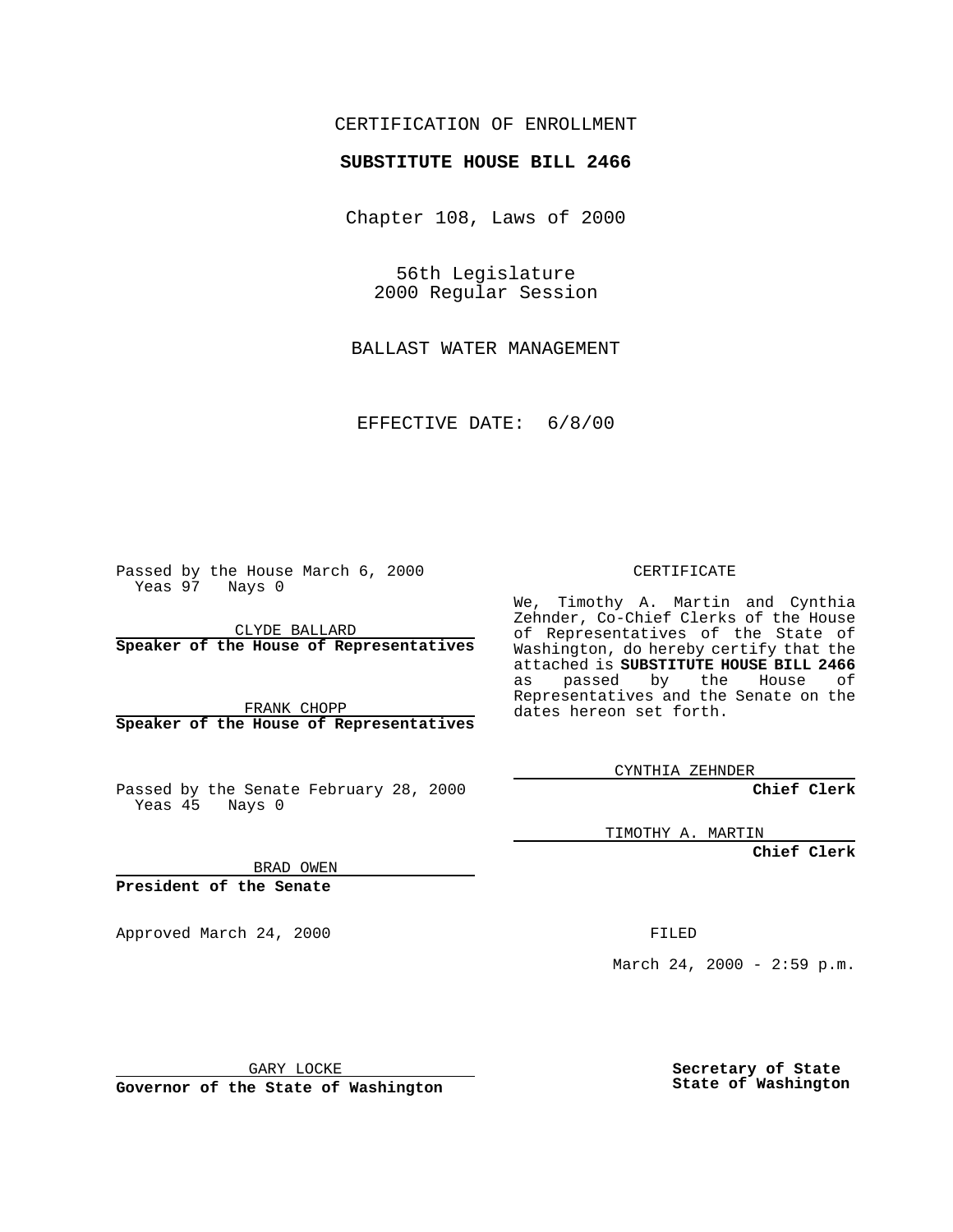## CERTIFICATION OF ENROLLMENT

## **SUBSTITUTE HOUSE BILL 2466**

Chapter 108, Laws of 2000

56th Legislature 2000 Regular Session

BALLAST WATER MANAGEMENT

EFFECTIVE DATE: 6/8/00

Passed by the House March 6, 2000 Yeas 97 Nays 0

CLYDE BALLARD **Speaker of the House of Representatives**

FRANK CHOPP **Speaker of the House of Representatives**

Passed by the Senate February 28, 2000 Yeas 45 Nays 0

CERTIFICATE

We, Timothy A. Martin and Cynthia Zehnder, Co-Chief Clerks of the House of Representatives of the State of Washington, do hereby certify that the attached is **SUBSTITUTE HOUSE BILL 2466** as passed by the House of Representatives and the Senate on the dates hereon set forth.

CYNTHIA ZEHNDER

**Chief Clerk**

TIMOTHY A. MARTIN

**Chief Clerk**

BRAD OWEN

**President of the Senate**

Approved March 24, 2000 FILED

March 24, 2000 - 2:59 p.m.

GARY LOCKE

**Governor of the State of Washington**

**Secretary of State State of Washington**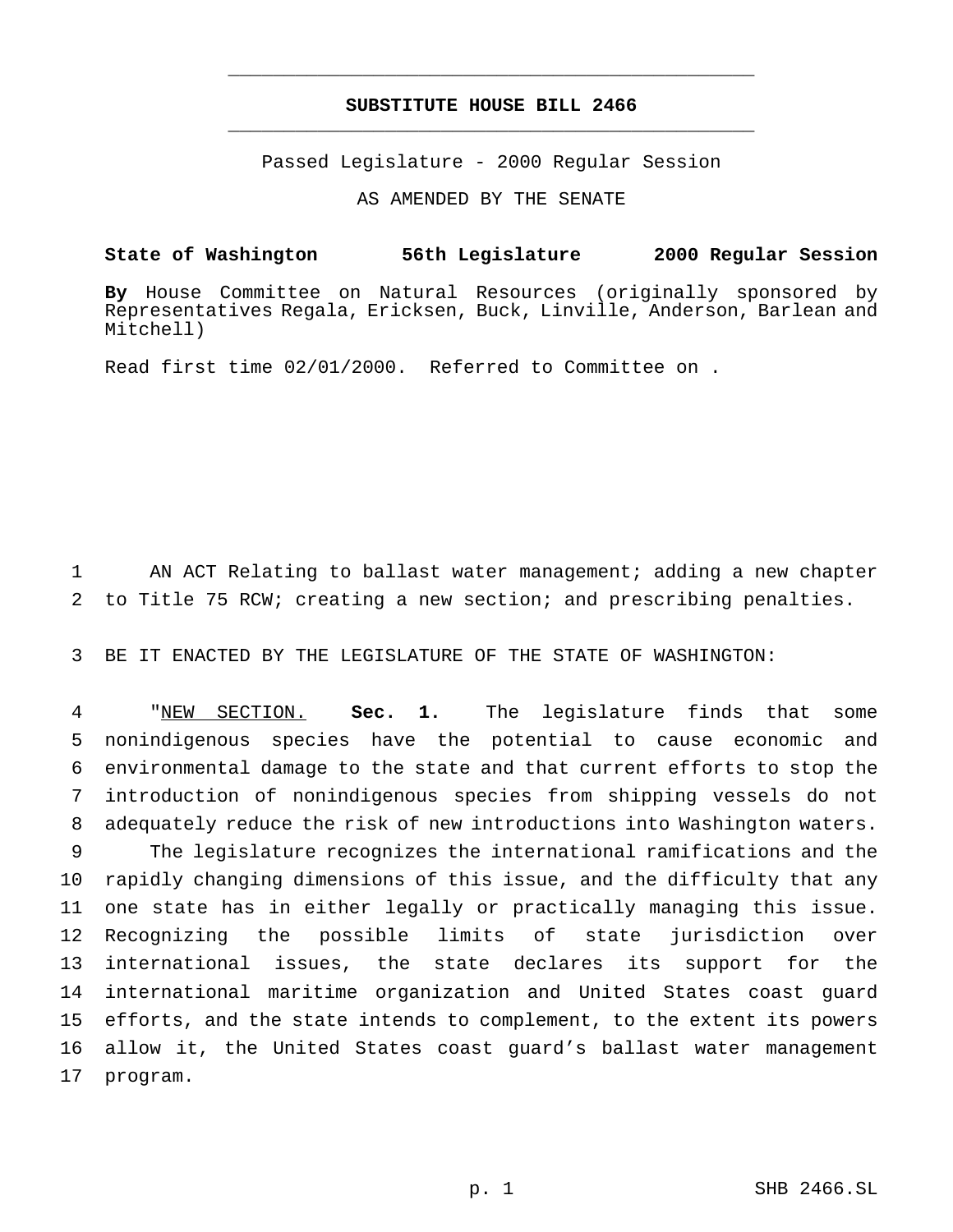## **SUBSTITUTE HOUSE BILL 2466** \_\_\_\_\_\_\_\_\_\_\_\_\_\_\_\_\_\_\_\_\_\_\_\_\_\_\_\_\_\_\_\_\_\_\_\_\_\_\_\_\_\_\_\_\_\_\_

\_\_\_\_\_\_\_\_\_\_\_\_\_\_\_\_\_\_\_\_\_\_\_\_\_\_\_\_\_\_\_\_\_\_\_\_\_\_\_\_\_\_\_\_\_\_\_

Passed Legislature - 2000 Regular Session

AS AMENDED BY THE SENATE

**State of Washington 56th Legislature 2000 Regular Session**

**By** House Committee on Natural Resources (originally sponsored by Representatives Regala, Ericksen, Buck, Linville, Anderson, Barlean and Mitchell)

Read first time 02/01/2000. Referred to Committee on .

 AN ACT Relating to ballast water management; adding a new chapter to Title 75 RCW; creating a new section; and prescribing penalties.

BE IT ENACTED BY THE LEGISLATURE OF THE STATE OF WASHINGTON:

 "NEW SECTION. **Sec. 1.** The legislature finds that some nonindigenous species have the potential to cause economic and environmental damage to the state and that current efforts to stop the introduction of nonindigenous species from shipping vessels do not adequately reduce the risk of new introductions into Washington waters. The legislature recognizes the international ramifications and the rapidly changing dimensions of this issue, and the difficulty that any one state has in either legally or practically managing this issue. Recognizing the possible limits of state jurisdiction over international issues, the state declares its support for the international maritime organization and United States coast guard efforts, and the state intends to complement, to the extent its powers allow it, the United States coast guard's ballast water management program.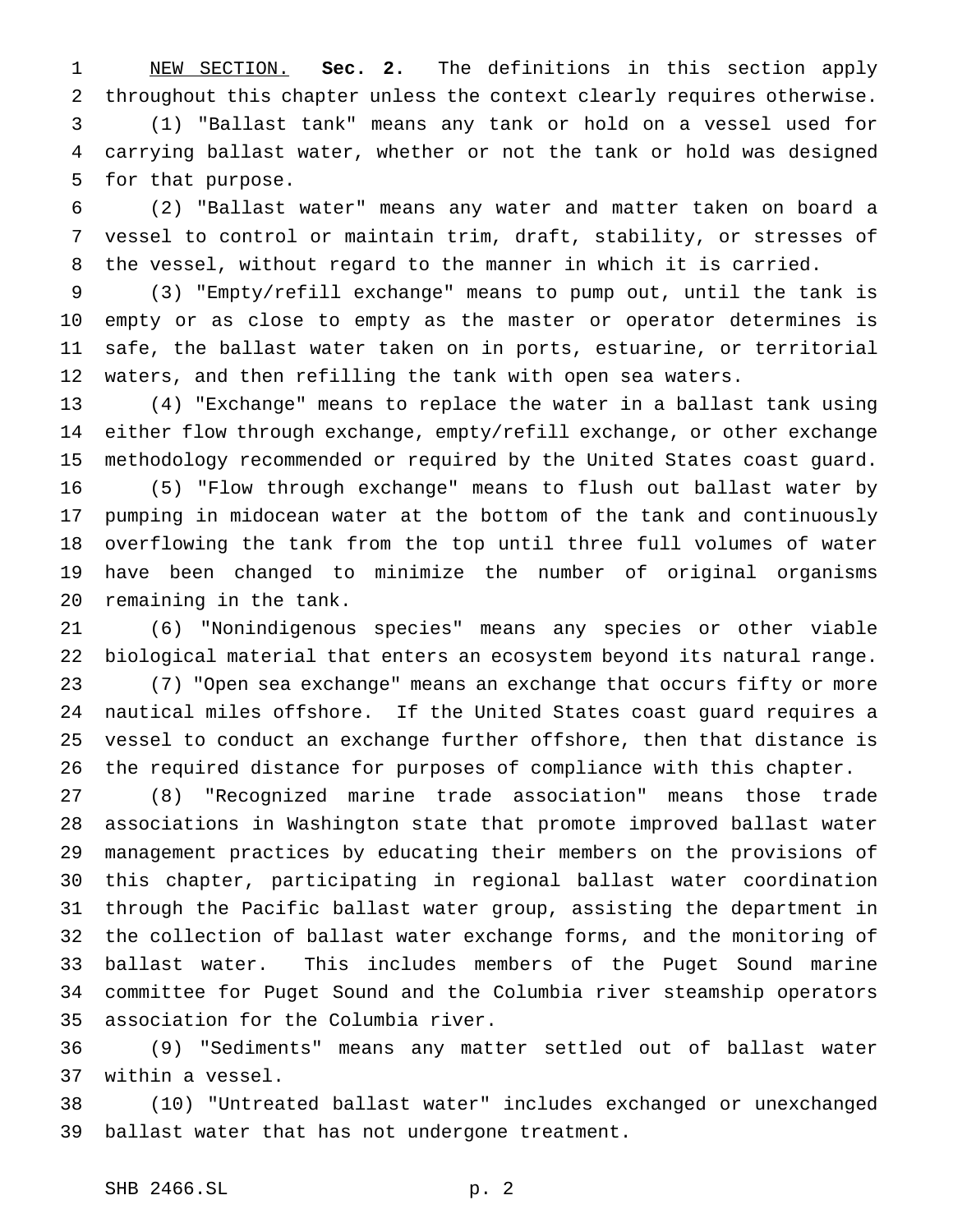NEW SECTION. **Sec. 2.** The definitions in this section apply throughout this chapter unless the context clearly requires otherwise. (1) "Ballast tank" means any tank or hold on a vessel used for carrying ballast water, whether or not the tank or hold was designed for that purpose.

 (2) "Ballast water" means any water and matter taken on board a vessel to control or maintain trim, draft, stability, or stresses of the vessel, without regard to the manner in which it is carried.

 (3) "Empty/refill exchange" means to pump out, until the tank is empty or as close to empty as the master or operator determines is safe, the ballast water taken on in ports, estuarine, or territorial waters, and then refilling the tank with open sea waters.

 (4) "Exchange" means to replace the water in a ballast tank using either flow through exchange, empty/refill exchange, or other exchange methodology recommended or required by the United States coast guard. (5) "Flow through exchange" means to flush out ballast water by pumping in midocean water at the bottom of the tank and continuously overflowing the tank from the top until three full volumes of water have been changed to minimize the number of original organisms remaining in the tank.

 (6) "Nonindigenous species" means any species or other viable biological material that enters an ecosystem beyond its natural range. (7) "Open sea exchange" means an exchange that occurs fifty or more nautical miles offshore. If the United States coast guard requires a vessel to conduct an exchange further offshore, then that distance is the required distance for purposes of compliance with this chapter.

 (8) "Recognized marine trade association" means those trade associations in Washington state that promote improved ballast water management practices by educating their members on the provisions of this chapter, participating in regional ballast water coordination through the Pacific ballast water group, assisting the department in the collection of ballast water exchange forms, and the monitoring of ballast water. This includes members of the Puget Sound marine committee for Puget Sound and the Columbia river steamship operators association for the Columbia river.

 (9) "Sediments" means any matter settled out of ballast water within a vessel.

 (10) "Untreated ballast water" includes exchanged or unexchanged ballast water that has not undergone treatment.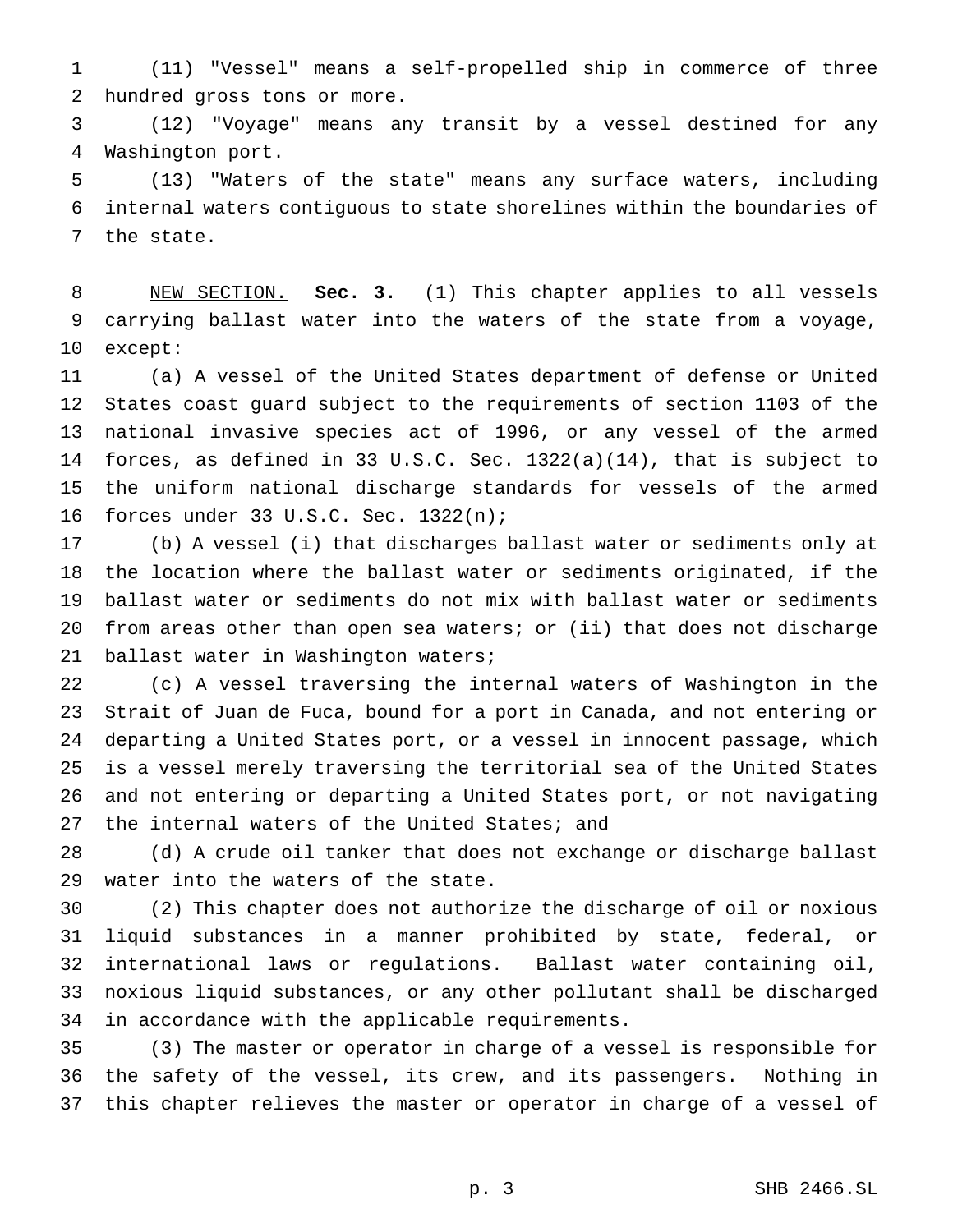(11) "Vessel" means a self-propelled ship in commerce of three hundred gross tons or more.

 (12) "Voyage" means any transit by a vessel destined for any Washington port.

 (13) "Waters of the state" means any surface waters, including internal waters contiguous to state shorelines within the boundaries of the state.

 NEW SECTION. **Sec. 3.** (1) This chapter applies to all vessels carrying ballast water into the waters of the state from a voyage, except:

 (a) A vessel of the United States department of defense or United States coast guard subject to the requirements of section 1103 of the national invasive species act of 1996, or any vessel of the armed forces, as defined in 33 U.S.C. Sec. 1322(a)(14), that is subject to the uniform national discharge standards for vessels of the armed forces under 33 U.S.C. Sec. 1322(n);

 (b) A vessel (i) that discharges ballast water or sediments only at the location where the ballast water or sediments originated, if the ballast water or sediments do not mix with ballast water or sediments from areas other than open sea waters; or (ii) that does not discharge ballast water in Washington waters;

 (c) A vessel traversing the internal waters of Washington in the Strait of Juan de Fuca, bound for a port in Canada, and not entering or departing a United States port, or a vessel in innocent passage, which is a vessel merely traversing the territorial sea of the United States and not entering or departing a United States port, or not navigating 27 the internal waters of the United States; and

 (d) A crude oil tanker that does not exchange or discharge ballast water into the waters of the state.

 (2) This chapter does not authorize the discharge of oil or noxious liquid substances in a manner prohibited by state, federal, or international laws or regulations. Ballast water containing oil, noxious liquid substances, or any other pollutant shall be discharged in accordance with the applicable requirements.

 (3) The master or operator in charge of a vessel is responsible for the safety of the vessel, its crew, and its passengers. Nothing in this chapter relieves the master or operator in charge of a vessel of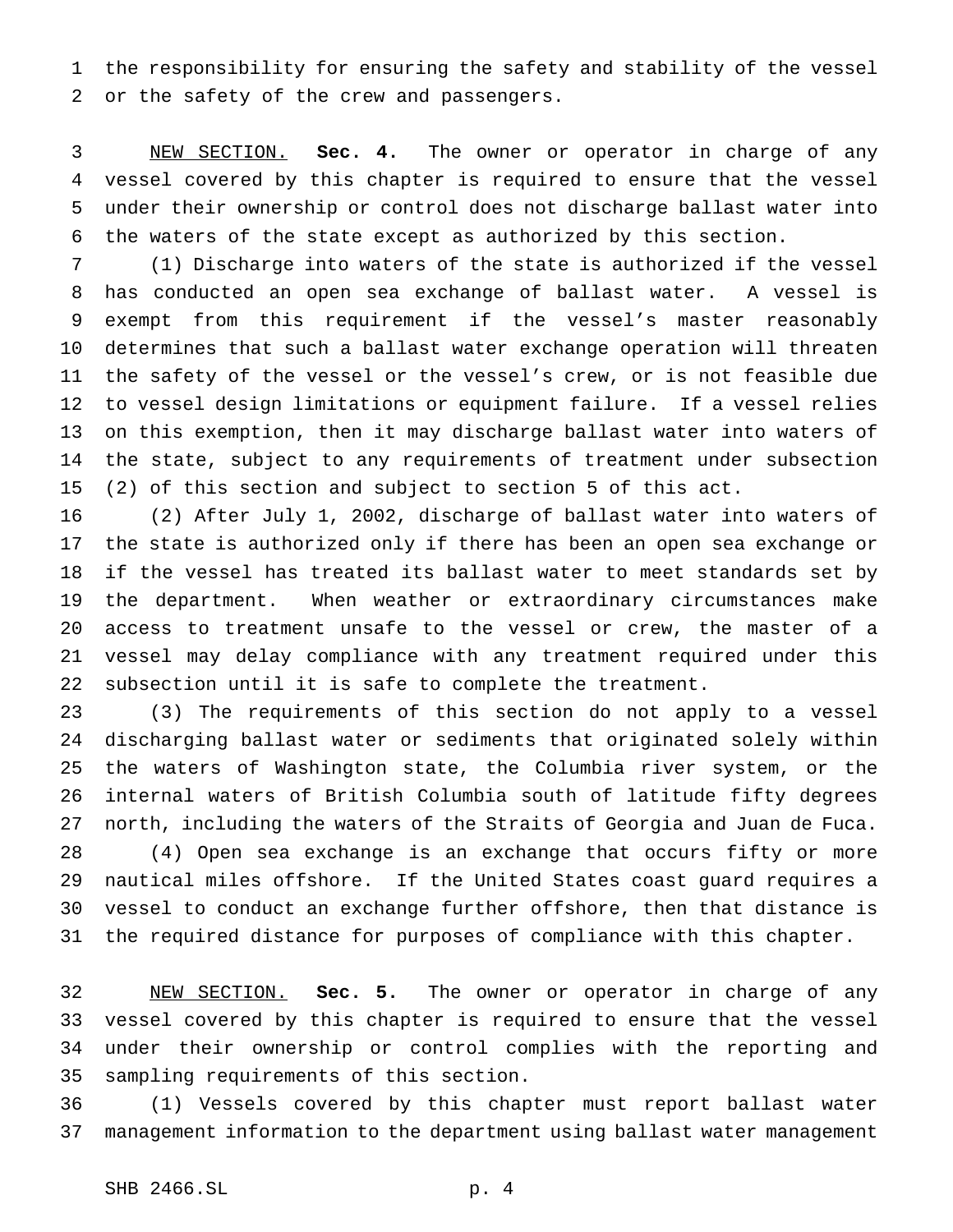the responsibility for ensuring the safety and stability of the vessel or the safety of the crew and passengers.

 NEW SECTION. **Sec. 4.** The owner or operator in charge of any vessel covered by this chapter is required to ensure that the vessel under their ownership or control does not discharge ballast water into the waters of the state except as authorized by this section.

 (1) Discharge into waters of the state is authorized if the vessel has conducted an open sea exchange of ballast water. A vessel is exempt from this requirement if the vessel's master reasonably determines that such a ballast water exchange operation will threaten the safety of the vessel or the vessel's crew, or is not feasible due to vessel design limitations or equipment failure. If a vessel relies on this exemption, then it may discharge ballast water into waters of the state, subject to any requirements of treatment under subsection (2) of this section and subject to section 5 of this act.

 (2) After July 1, 2002, discharge of ballast water into waters of the state is authorized only if there has been an open sea exchange or if the vessel has treated its ballast water to meet standards set by the department. When weather or extraordinary circumstances make access to treatment unsafe to the vessel or crew, the master of a vessel may delay compliance with any treatment required under this subsection until it is safe to complete the treatment.

 (3) The requirements of this section do not apply to a vessel discharging ballast water or sediments that originated solely within the waters of Washington state, the Columbia river system, or the internal waters of British Columbia south of latitude fifty degrees north, including the waters of the Straits of Georgia and Juan de Fuca. (4) Open sea exchange is an exchange that occurs fifty or more nautical miles offshore. If the United States coast guard requires a vessel to conduct an exchange further offshore, then that distance is the required distance for purposes of compliance with this chapter.

 NEW SECTION. **Sec. 5.** The owner or operator in charge of any vessel covered by this chapter is required to ensure that the vessel under their ownership or control complies with the reporting and sampling requirements of this section.

 (1) Vessels covered by this chapter must report ballast water management information to the department using ballast water management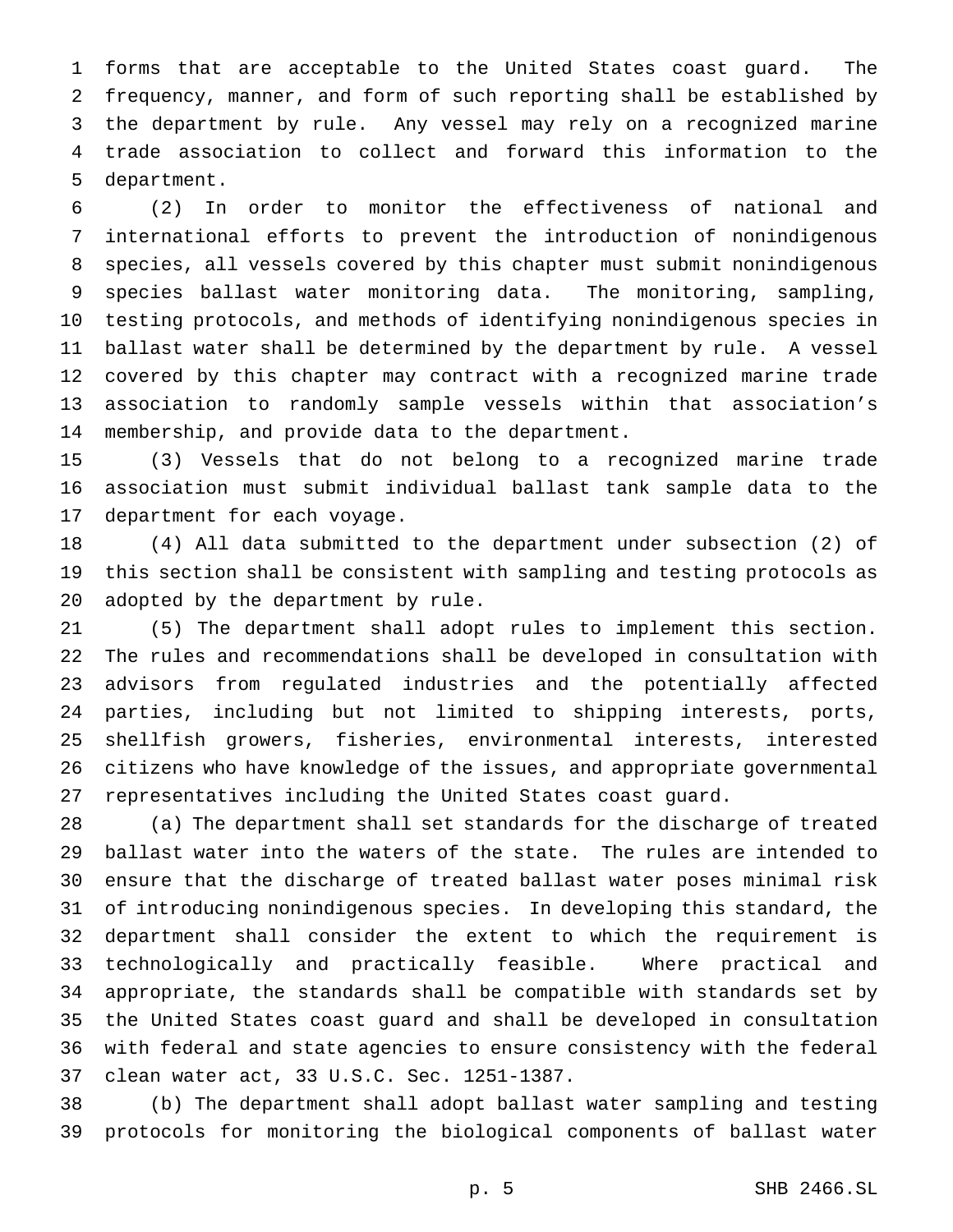forms that are acceptable to the United States coast guard. The frequency, manner, and form of such reporting shall be established by the department by rule. Any vessel may rely on a recognized marine trade association to collect and forward this information to the department.

 (2) In order to monitor the effectiveness of national and international efforts to prevent the introduction of nonindigenous species, all vessels covered by this chapter must submit nonindigenous species ballast water monitoring data. The monitoring, sampling, testing protocols, and methods of identifying nonindigenous species in ballast water shall be determined by the department by rule. A vessel covered by this chapter may contract with a recognized marine trade association to randomly sample vessels within that association's membership, and provide data to the department.

 (3) Vessels that do not belong to a recognized marine trade association must submit individual ballast tank sample data to the department for each voyage.

 (4) All data submitted to the department under subsection (2) of this section shall be consistent with sampling and testing protocols as adopted by the department by rule.

 (5) The department shall adopt rules to implement this section. The rules and recommendations shall be developed in consultation with advisors from regulated industries and the potentially affected parties, including but not limited to shipping interests, ports, shellfish growers, fisheries, environmental interests, interested citizens who have knowledge of the issues, and appropriate governmental representatives including the United States coast guard.

 (a) The department shall set standards for the discharge of treated ballast water into the waters of the state. The rules are intended to ensure that the discharge of treated ballast water poses minimal risk of introducing nonindigenous species. In developing this standard, the department shall consider the extent to which the requirement is technologically and practically feasible. Where practical and appropriate, the standards shall be compatible with standards set by the United States coast guard and shall be developed in consultation with federal and state agencies to ensure consistency with the federal clean water act, 33 U.S.C. Sec. 1251-1387.

 (b) The department shall adopt ballast water sampling and testing protocols for monitoring the biological components of ballast water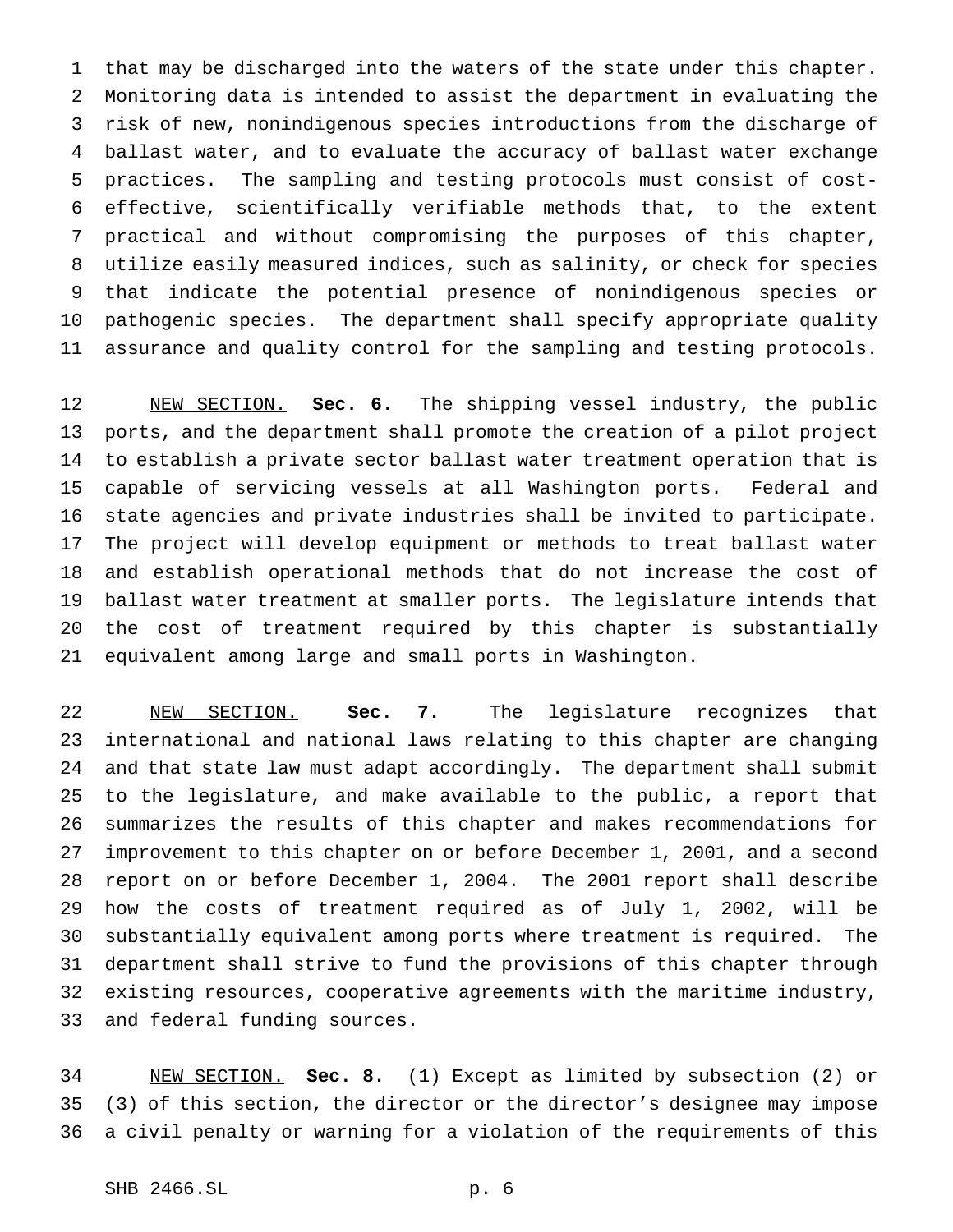that may be discharged into the waters of the state under this chapter. Monitoring data is intended to assist the department in evaluating the risk of new, nonindigenous species introductions from the discharge of ballast water, and to evaluate the accuracy of ballast water exchange practices. The sampling and testing protocols must consist of cost- effective, scientifically verifiable methods that, to the extent practical and without compromising the purposes of this chapter, utilize easily measured indices, such as salinity, or check for species that indicate the potential presence of nonindigenous species or pathogenic species. The department shall specify appropriate quality assurance and quality control for the sampling and testing protocols.

 NEW SECTION. **Sec. 6.** The shipping vessel industry, the public ports, and the department shall promote the creation of a pilot project to establish a private sector ballast water treatment operation that is capable of servicing vessels at all Washington ports. Federal and state agencies and private industries shall be invited to participate. The project will develop equipment or methods to treat ballast water and establish operational methods that do not increase the cost of ballast water treatment at smaller ports. The legislature intends that the cost of treatment required by this chapter is substantially equivalent among large and small ports in Washington.

 NEW SECTION. **Sec. 7.** The legislature recognizes that international and national laws relating to this chapter are changing and that state law must adapt accordingly. The department shall submit to the legislature, and make available to the public, a report that summarizes the results of this chapter and makes recommendations for improvement to this chapter on or before December 1, 2001, and a second report on or before December 1, 2004. The 2001 report shall describe how the costs of treatment required as of July 1, 2002, will be substantially equivalent among ports where treatment is required. The department shall strive to fund the provisions of this chapter through existing resources, cooperative agreements with the maritime industry, and federal funding sources.

 NEW SECTION. **Sec. 8.** (1) Except as limited by subsection (2) or (3) of this section, the director or the director's designee may impose a civil penalty or warning for a violation of the requirements of this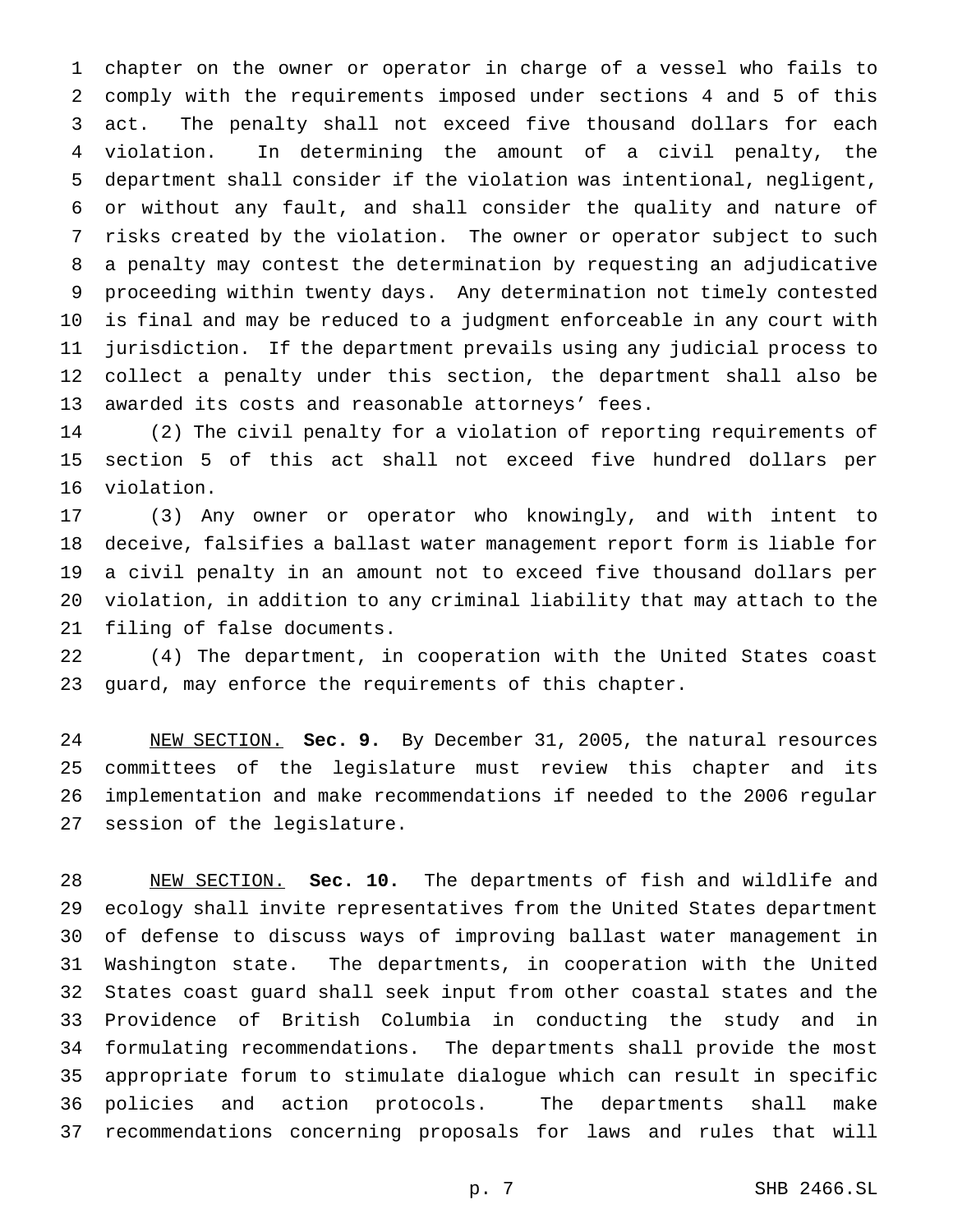chapter on the owner or operator in charge of a vessel who fails to comply with the requirements imposed under sections 4 and 5 of this act. The penalty shall not exceed five thousand dollars for each violation. In determining the amount of a civil penalty, the department shall consider if the violation was intentional, negligent, or without any fault, and shall consider the quality and nature of risks created by the violation. The owner or operator subject to such a penalty may contest the determination by requesting an adjudicative proceeding within twenty days. Any determination not timely contested is final and may be reduced to a judgment enforceable in any court with jurisdiction. If the department prevails using any judicial process to collect a penalty under this section, the department shall also be awarded its costs and reasonable attorneys' fees.

 (2) The civil penalty for a violation of reporting requirements of section 5 of this act shall not exceed five hundred dollars per violation.

 (3) Any owner or operator who knowingly, and with intent to deceive, falsifies a ballast water management report form is liable for a civil penalty in an amount not to exceed five thousand dollars per violation, in addition to any criminal liability that may attach to the filing of false documents.

 (4) The department, in cooperation with the United States coast guard, may enforce the requirements of this chapter.

 NEW SECTION. **Sec. 9.** By December 31, 2005, the natural resources committees of the legislature must review this chapter and its implementation and make recommendations if needed to the 2006 regular session of the legislature.

 NEW SECTION. **Sec. 10.** The departments of fish and wildlife and ecology shall invite representatives from the United States department of defense to discuss ways of improving ballast water management in Washington state. The departments, in cooperation with the United States coast guard shall seek input from other coastal states and the Providence of British Columbia in conducting the study and in formulating recommendations. The departments shall provide the most appropriate forum to stimulate dialogue which can result in specific policies and action protocols. The departments shall make recommendations concerning proposals for laws and rules that will